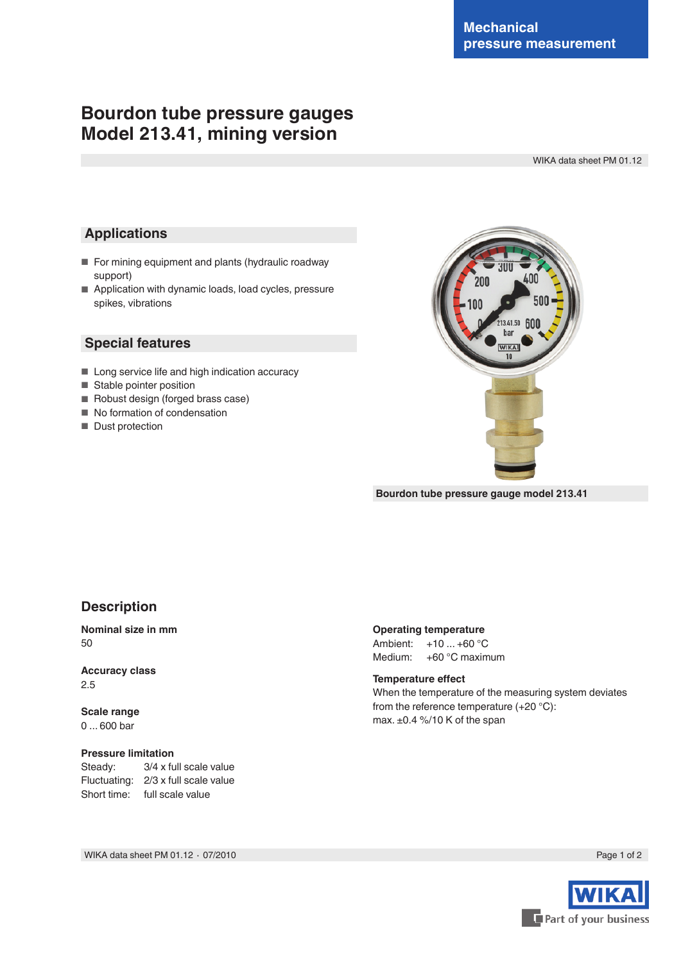# **Bourdon tube pressure gauges Model 213.41, mining version**

WIKA data sheet PM 01.12

## **Applications**

- For mining equipment and plants (hydraulic roadway support)
- Application with dynamic loads, load cycles, pressure spikes, vibrations

### **Special features**

- Long service life and high indication accuracy
- Stable pointer position
- Robust design (forged brass case)
- No formation of condensation
- Dust protection



**Bourdon tube pressure gauge model 213.41**

## **Description**

### **Nominal size in mm** 50

**Accuracy class** 2.5

**Scale range** 0 ... 600 bar

#### **Pressure limitation**

Steady: 3/4 x full scale value Fluctuating: 2/3 x full scale value Short time: full scale value

| Ambient: | $+10+60 °C$      |
|----------|------------------|
| Medium:  | $+60$ °C maximum |

#### **Temperature effect**

When the temperature of the measuring system deviates from the reference temperature (+20 °C): max. ±0.4 %/10 K of the span